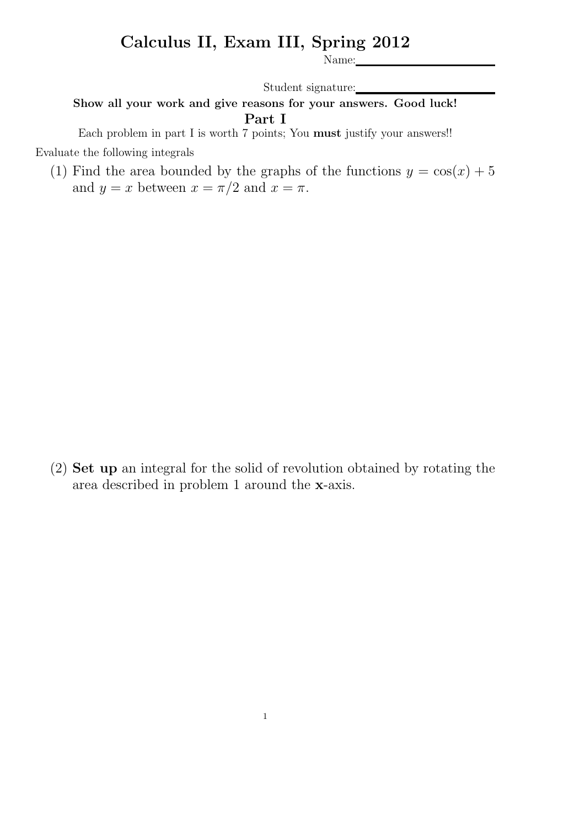## Calculus II, Exam III, Spring 2012

Name:

Student signature:

## Show all your work and give reasons for your answers. Good luck! Part I

Each problem in part I is worth 7 points; You must justify your answers!! Evaluate the following integrals

(1) Find the area bounded by the graphs of the functions  $y = cos(x) + 5$ and  $y = x$  between  $x = \pi/2$  and  $x = \pi$ .

(2) Set up an integral for the solid of revolution obtained by rotating the area described in problem 1 around the x-axis.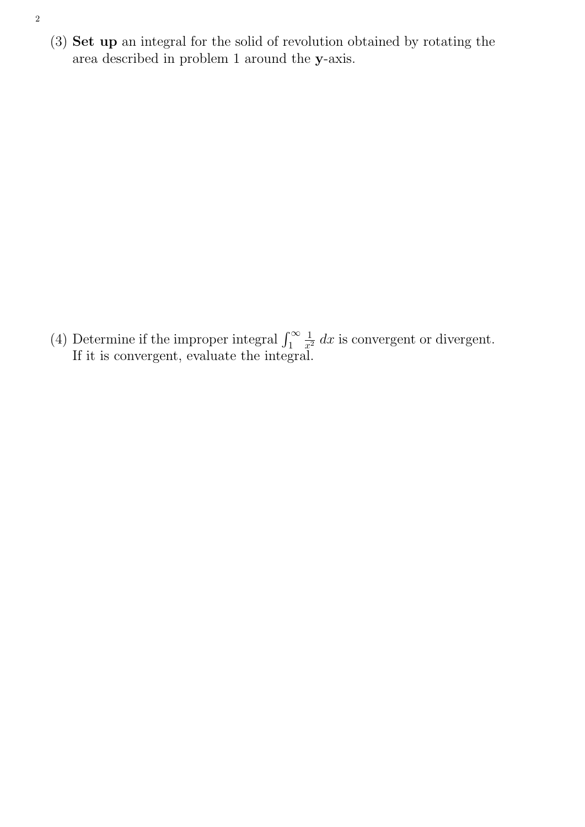(3) Set up an integral for the solid of revolution obtained by rotating the area described in problem 1 around the y-axis.

(4) Determine if the improper integral  $\int_1^\infty$ 1  $\frac{1}{x^2} dx$  is convergent or divergent. If it is convergent, evaluate the integral.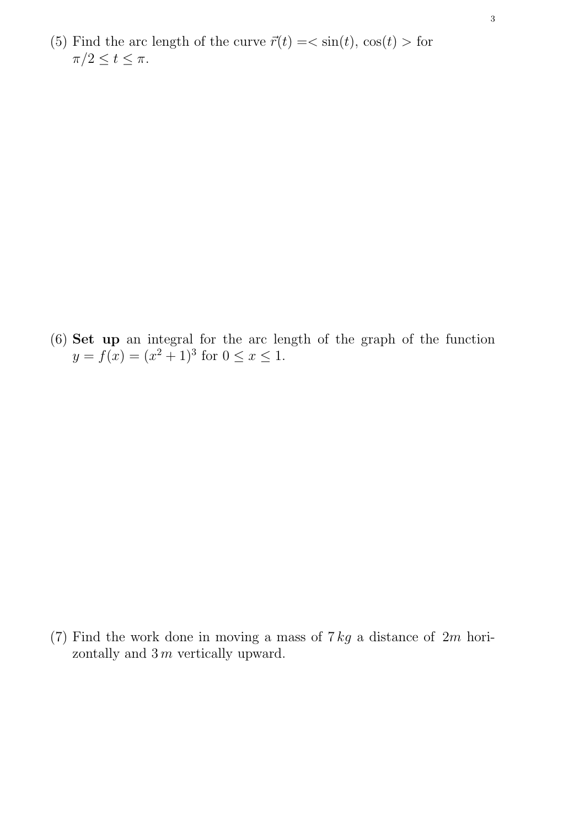(5) Find the arc length of the curve  $\vec{r}(t) = \langle \sin(t), \cos(t) \rangle$  for  $\pi/2 \leq t \leq \pi$ .

(6) Set up an integral for the arc length of the graph of the function  $y = f(x) = (x^2 + 1)^3$  for  $0 \le x \le 1$ .

(7) Find the work done in moving a mass of  $7 kg$  a distance of  $2m$  horizontally and  $3 m$  vertically upward.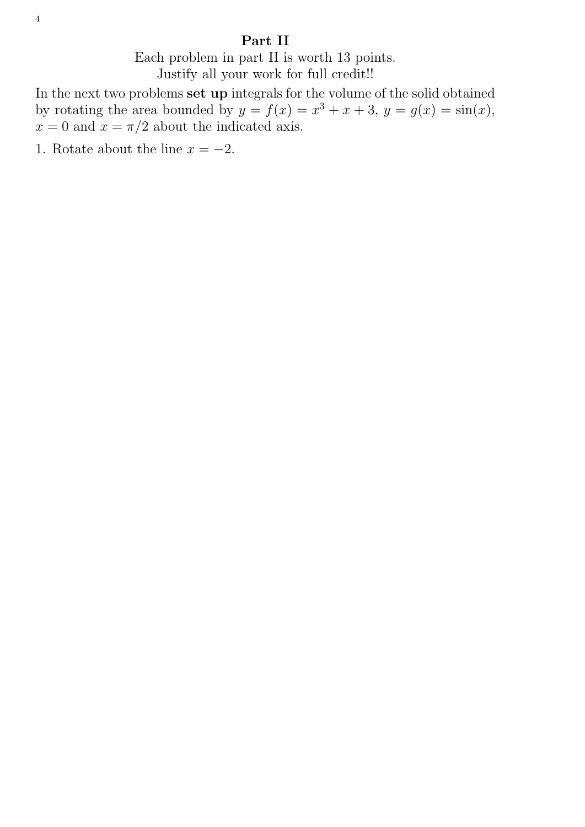## Part II

Each problem in part II is worth 13 points. Justify all your work for full credit!!

In the next two problems set up integrals for the volume of the solid obtained by rotating the area bounded by  $y = f(x) = x^3 + x + 3$ ,  $y = g(x) = \sin(x)$ ,  $x = 0$  and  $x = \pi/2$  about the indicated axis.

1. Rotate about the line  $x = -2$ .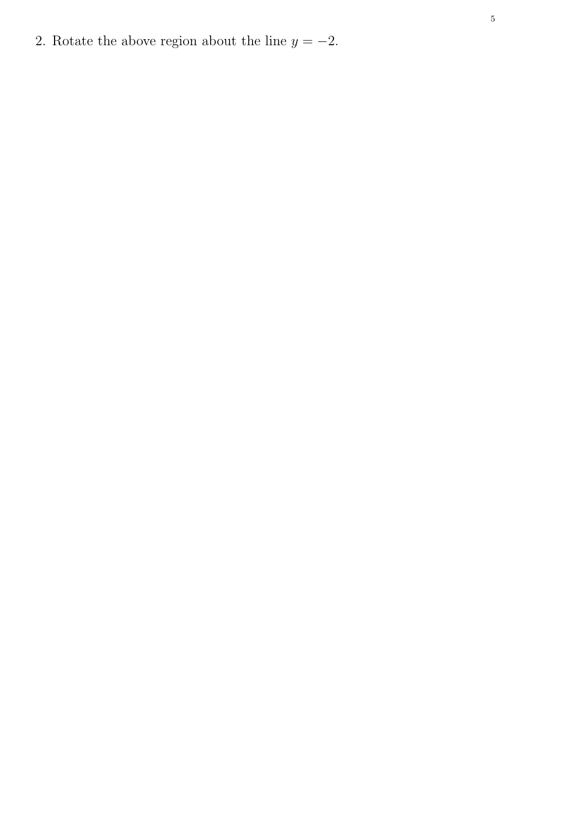2. Rotate the above region about the line  $y = -2$ .